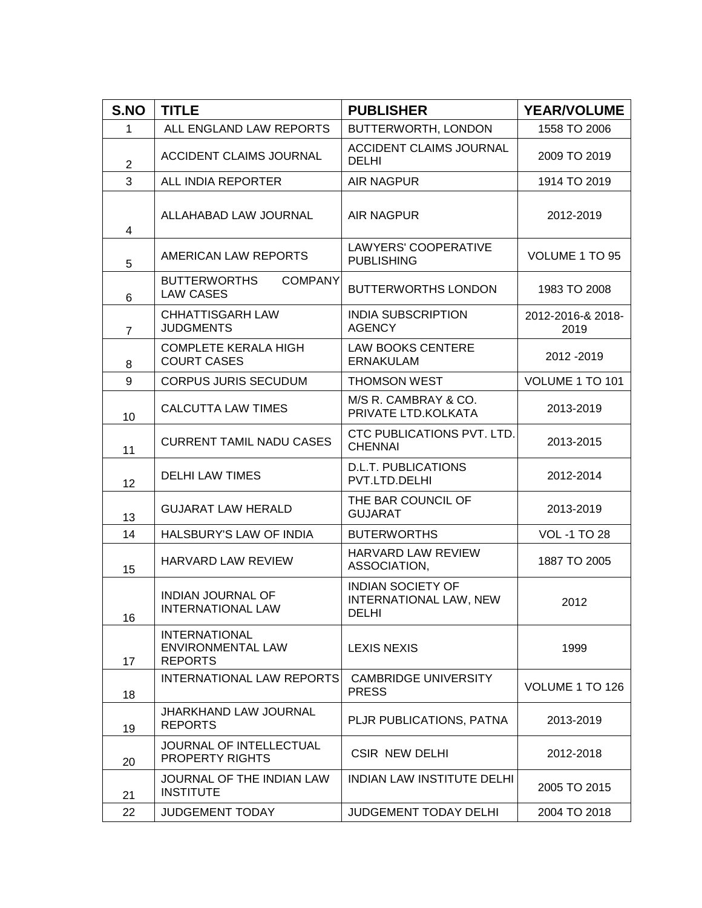| S.NO                    | <b>TITLE</b>                                                       | <b>PUBLISHER</b>                                            | <b>YEAR/VOLUME</b>        |
|-------------------------|--------------------------------------------------------------------|-------------------------------------------------------------|---------------------------|
| $\mathbf 1$             | ALL ENGLAND LAW REPORTS                                            | BUTTERWORTH, LONDON                                         | 1558 TO 2006              |
| $\overline{2}$          | <b>ACCIDENT CLAIMS JOURNAL</b>                                     | <b>ACCIDENT CLAIMS JOURNAL</b><br><b>DELHI</b>              | 2009 TO 2019              |
| 3                       | ALL INDIA REPORTER                                                 | <b>AIR NAGPUR</b>                                           | 1914 TO 2019              |
| $\overline{\mathbf{4}}$ | ALLAHABAD LAW JOURNAL                                              | <b>AIR NAGPUR</b>                                           | 2012-2019                 |
| 5                       | AMERICAN LAW REPORTS                                               | <b>LAWYERS' COOPERATIVE</b><br><b>PUBLISHING</b>            | VOLUME 1 TO 95            |
| 6                       | <b>BUTTERWORTHS</b><br><b>COMPANY</b><br><b>LAW CASES</b>          | <b>BUTTERWORTHS LONDON</b>                                  | 1983 TO 2008              |
| $\overline{7}$          | <b>CHHATTISGARH LAW</b><br><b>JUDGMENTS</b>                        | <b>INDIA SUBSCRIPTION</b><br><b>AGENCY</b>                  | 2012-2016-& 2018-<br>2019 |
| 8                       | <b>COMPLETE KERALA HIGH</b><br><b>COURT CASES</b>                  | <b>LAW BOOKS CENTERE</b><br><b>ERNAKULAM</b>                | 2012 - 2019               |
| 9                       | <b>CORPUS JURIS SECUDUM</b>                                        | THOMSON WEST                                                | VOLUME 1 TO 101           |
| 10                      | <b>CALCUTTA LAW TIMES</b>                                          | M/S R. CAMBRAY & CO.<br>PRIVATE LTD.KOLKATA                 | 2013-2019                 |
| 11                      | <b>CURRENT TAMIL NADU CASES</b>                                    | CTC PUBLICATIONS PVT. LTD.<br><b>CHENNAI</b>                | 2013-2015                 |
| 12                      | <b>DELHI LAW TIMES</b>                                             | <b>D.L.T. PUBLICATIONS</b><br>PVT.LTD.DELHI                 | 2012-2014                 |
| 13                      | <b>GUJARAT LAW HERALD</b>                                          | THE BAR COUNCIL OF<br><b>GUJARAT</b>                        | 2013-2019                 |
| 14                      | HALSBURY'S LAW OF INDIA                                            | <b>BUTERWORTHS</b>                                          | <b>VOL -1 TO 28</b>       |
| 15                      | <b>HARVARD LAW REVIEW</b>                                          | <b>HARVARD LAW REVIEW</b><br>ASSOCIATION,                   | 1887 TO 2005              |
| 16                      | <b>INDIAN JOURNAL OF</b><br><b>INTERNATIONAL LAW</b>               | <b>INDIAN SOCIETY OF</b><br>INTERNATIONAL LAW, NEW<br>DELHI | 2012                      |
| 17                      | <b>INTERNATIONAL</b><br><b>ENVIRONMENTAL LAW</b><br><b>REPORTS</b> | <b>LEXIS NEXIS</b>                                          | 1999                      |
| 18                      | <b>INTERNATIONAL LAW REPORTS</b>                                   | <b>CAMBRIDGE UNIVERSITY</b><br><b>PRESS</b>                 | VOLUME 1 TO 126           |
| 19                      | JHARKHAND LAW JOURNAL<br><b>REPORTS</b>                            | PLJR PUBLICATIONS, PATNA                                    | 2013-2019                 |
| 20                      | JOURNAL OF INTELLECTUAL<br><b>PROPERTY RIGHTS</b>                  | <b>CSIR NEW DELHI</b>                                       | 2012-2018                 |
| 21                      | JOURNAL OF THE INDIAN LAW<br><b>INSTITUTE</b>                      | <b>INDIAN LAW INSTITUTE DELHI</b>                           | 2005 TO 2015              |
| 22                      | <b>JUDGEMENT TODAY</b>                                             | <b>JUDGEMENT TODAY DELHI</b>                                | 2004 TO 2018              |